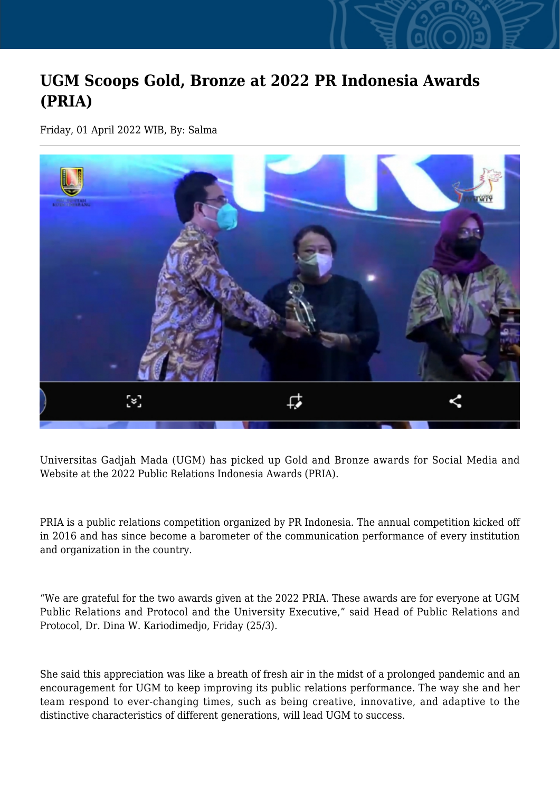## **UGM Scoops Gold, Bronze at 2022 PR Indonesia Awards (PRIA)**

Friday, 01 April 2022 WIB, By: Salma



Universitas Gadjah Mada (UGM) has picked up Gold and Bronze awards for Social Media and Website at the 2022 Public Relations Indonesia Awards (PRIA).

PRIA is a public relations competition organized by PR Indonesia. The annual competition kicked off in 2016 and has since become a barometer of the communication performance of every institution and organization in the country.

"We are grateful for the two awards given at the 2022 PRIA. These awards are for everyone at UGM Public Relations and Protocol and the University Executive," said Head of Public Relations and Protocol, Dr. Dina W. Kariodimedjo, Friday (25/3).

She said this appreciation was like a breath of fresh air in the midst of a prolonged pandemic and an encouragement for UGM to keep improving its public relations performance. The way she and her team respond to ever-changing times, such as being creative, innovative, and adaptive to the distinctive characteristics of different generations, will lead UGM to success.